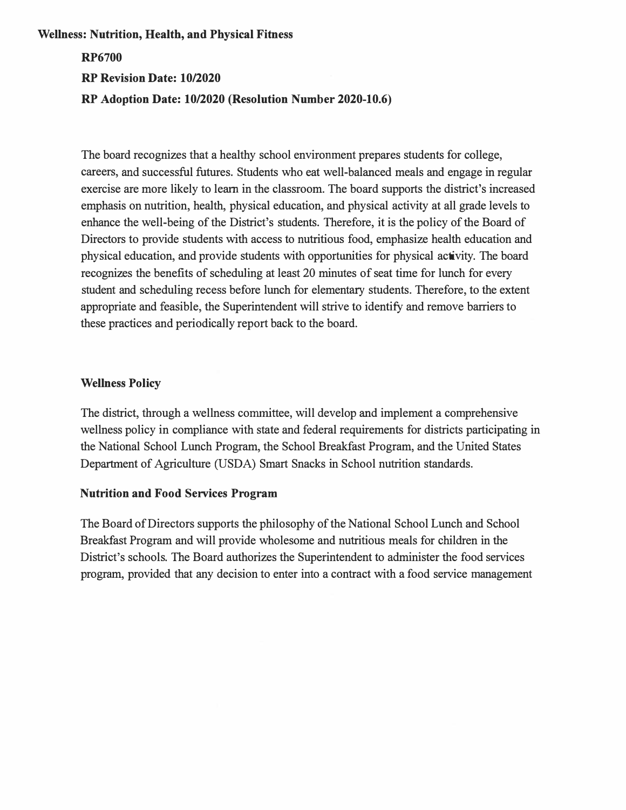#### **Wellness: Nutrition, Health, and Physical Fitness**

# **RP6700 RP Revision Date: 10/2020 RP Adoption Date: 10/2020 (Resolution Number 2020-10.6)**

The board recognizes that a healthy school environment prepares students for college, careers, and successful futures. Students who eat well-balanced meals and engage in regular exercise are more likely to learn in the classroom. The board supports the district's increased emphasis on nutrition, health, physical education, and physical activity at all grade levels to enhance the well-being of the District's students. Therefore, it is the policy of the Board of Directors to provide students with access to nutritious food, emphasize health education and physical education, and provide students with opportunities for physical activity. The board recognizes the benefits of scheduling at least 20 minutes of seat time for lunch for every student and scheduling recess before lunch for elementary students. Therefore, to the extent appropriate and feasible, the Superintendent will strive to identify and remove barriers to these practices and periodically report back to the board.

## **Wellness Policy**

The district, through a wellness committee, will develop and implement a comprehensive wellness policy in compliance with state and federal requirements for districts participating in the National School Lunch Program, the School Breakfast Program, and the United States Department of Agriculture (USDA) Smart Snacks in School nutrition standards.

#### **Nutrition and Food Services Program**

The Board of Directors supports the philosophy of the National School Lunch and School Breakfast Program and will provide wholesome and nutritious meals for children in the District's schools. The Board authorizes the Superintendent to administer the food services program, provided that any decision to enter into a contract with a food service management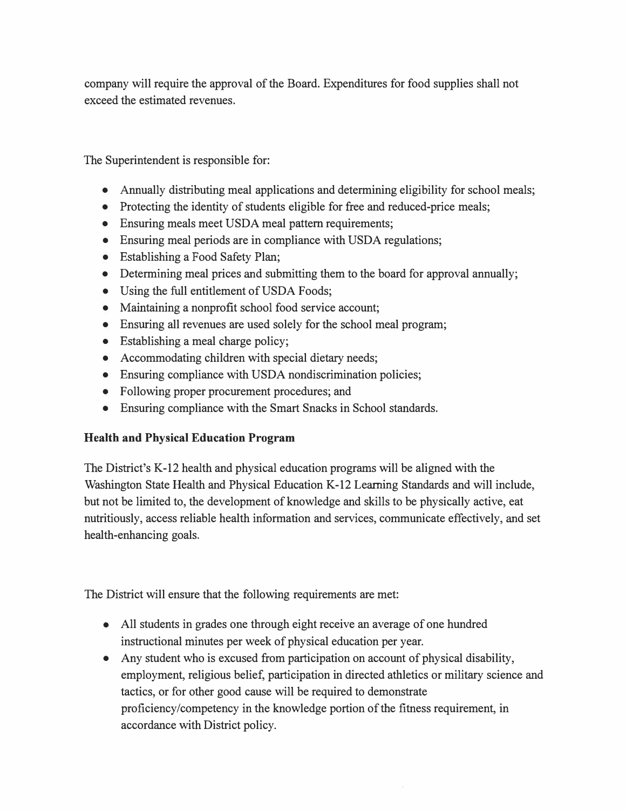company will require the approval of the Board. Expenditures for food supplies shall not exceed the estimated revenues.

The Superintendent is responsible for:

- Annually distributing meal applications and determining eligibility for school meals;
- Protecting the identity of students eligible for free and reduced-price meals;
- Ensuring meals meet USDA meal pattern requirements;
- Ensuring meal periods are in compliance with USDA regulations;
- Establishing a Food Safety Plan;
- Determining meal prices and submitting them to the board for approval annually;
- Using the full entitlement of USDA Foods;
- Maintaining a nonprofit school food service account;
- Ensuring all revenues are used solely for the school meal program;
- Establishing a meal charge policy;
- Accommodating children with special dietary needs;
- Ensuring compliance with USDA nondiscrimination policies;
- Following proper procurement procedures; and
- Ensuring compliance with the Smart Snacks in School standards.

# **Health and Physical Education Program**

The District's K-12 health and physical education programs will be aligned with the Washington State Health and Physical Education K-12 Learning Standards and will include, but not be limited to, the development of knowledge and skills to be physically active, eat nutritiously, access reliable health information and services, communicate effectively, and set health-enhancing goals.

The District will ensure that the following requirements are met:

- All students in grades one through eight receive an average of one hundred instructional minutes per week of physical education per year.
- Any student who is excused from participation on account of physical disability, employment, religious belief, participation in directed athletics or military science and tactics, or for other good cause will be required to demonstrate proficiency/competency in the knowledge portion of the fitness requirement, in accordance with District policy.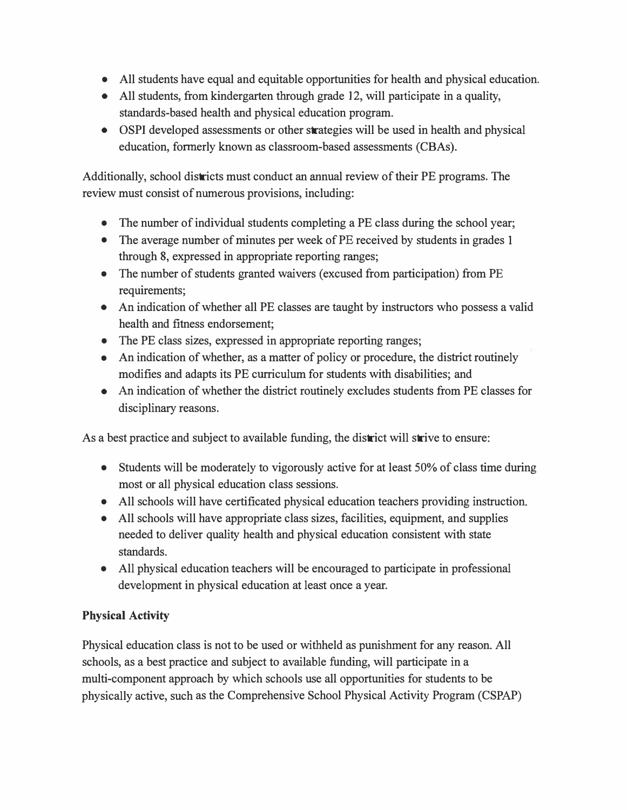- All students have equal and equitable opportunities for health and physical education.
- All students, from kindergarten through grade 12, will participate in a quality, standards-based health and physical education program.
- OSPI developed assessments or other strategies will be used in health and physical education, formerly known as classroom-based assessments (CBAs).

Additionally, school districts must conduct an annual review of their PE programs. The review must consist of numerous provisions, including:

- The number of individual students completing a PE class during the school year;
- The average number of minutes per week of PE received by students in grades 1 through 8, expressed in appropriate reporting ranges;
- The number of students granted waivers (excused from participation) from PE requirements;
- An indication of whether all PE classes are taught by instructors who possess a valid health and fitness endorsement;
- The PE class sizes, expressed in appropriate reporting ranges;
- An indication of whether, as a matter of policy or procedure, the district routinely modifies and adapts its PE curriculum for students with disabilities; and
- An indication of whether the district routinely excludes students from PE classes for disciplinary reasons.

As a best practice and subject to available funding, the district will strive to ensure:

- Students will be moderately to vigorously active for at least 50% of class time during most or all physical education class sessions.
- All schools will have certificated physical education teachers providing instruction.
- All schools will have appropriate class sizes, facilities, equipment, and supplies needed to deliver quality health and physical education consistent with state standards.
- All physical education teachers will be encouraged to participate in professional development in physical education at least once a year.

# **Physical Activity**

Physical education class is not to be used or withheld as punishment for any reason. All schools, as a best practice and subject to available funding, will participate in a multi-component approach by which schools use all opportunities for students to be physically active, such as the Comprehensive School Physical Activity Program (CSPAP)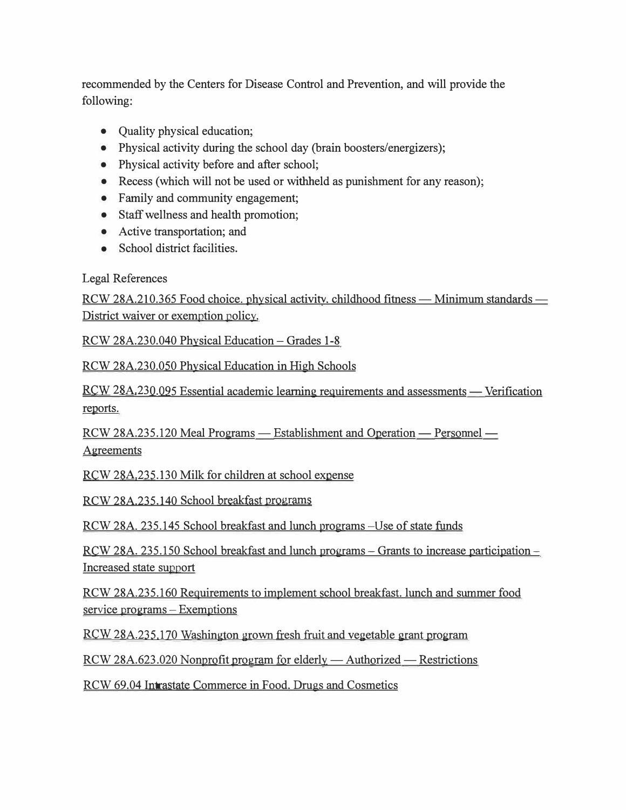recommended by the Centers for Disease Control and Prevention, and will provide the following:

- Quality physical education;
- Physical activity during the school day (brain boosters/energizers);
- Physical activity before and after school;
- Recess (which will not be used or withheld as punishment for any reason);
- Family and community engagement;
- Staff wellness and health promotion;
- Active transportation; and
- School district facilities.

## Legal References

RCW 28A.210.365 Food choice. physical activity. childhood fitness — Minimum standards — District waiver or exemption policy.

RCW 28A.230.040 Physical Education- Grades 1-8

RCW 28A.230.050 Physical Education in High Schools

<u>RCW 28A.230.095</u> Essential academic learning requirements and assessments — Verification reports.

RCW 28A.235.120 Meal Programs - Establishment and Operation - Personnel -Agreements

RCW 28A.235.130 Milk for children at school expense

RCW 28A.235.140 School breakfast programs

RCW 28A. 235.145 School breakfast and lunch programs-Use of state funds

RCW 28A. 235.150 School breakfast and lunch programs-Grants to increase participation-Increased state support

RCW 28A.235.160 Requirements to implement school breakfast. lunch and summer food service programs - Exemptions

RCW 28A.235.170 Washington grown fresh fruit and vegetable grant program

 $RCW 28A.623.020$  Nonprofit program for elderly — Authorized — Restrictions

RCW 69.04 Intrastate Commerce in Food. Drugs and Cosmetics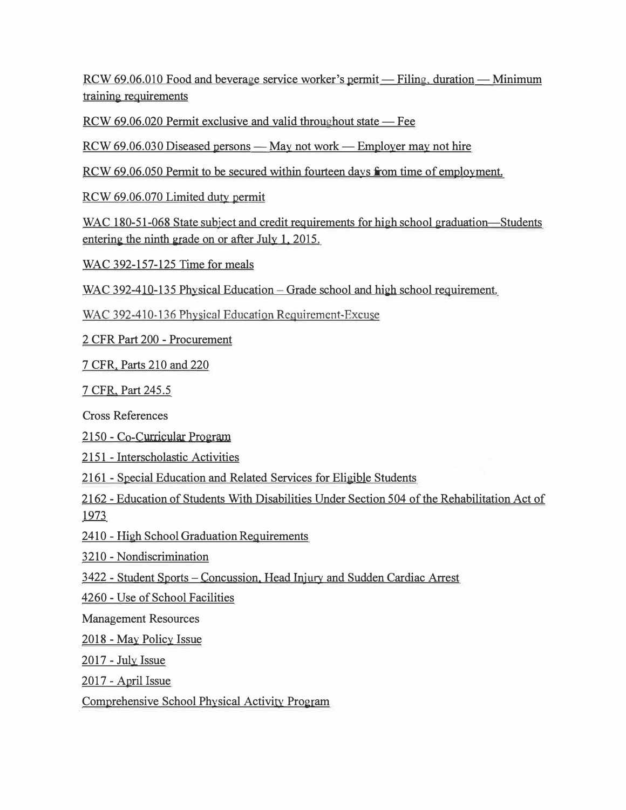RCW 69.06.010 Food and beverage service worker's permit - Filing, duration - Minimum training requirements

RCW 69.06.020 Permit exclusive and valid throughout state — Fee

 $RCW$  69.06.030 Diseased persons — May not work — Employer may not hire

RCW 69.06.050 Permit to be secured within fourteen days from time of employment.

RCW 69.06.070 Limited duty permit

WAC 180-51-068 State subject and credit requirements for high school graduation—Students entering the ninth grade on or after July 1, 2015.

WAC 392-157-125 Time for meals

WAC 392-410-135 Physical Education – Grade school and high school requirement.

WAC 392-410-136 Physical Education Requirement-Excuse

2 CFR Part 200 - Procurement

7 CFR. Parts 210 and 220

7 CFR, Part 245.5

Cross References

2150 - Co-Curricular Program

2151 - Interscholastic Activities

2161 - Special Education and Related Services for Eligible Students

2162 - Education of Students With Disabilities Under Section 504 of the Rehabilitation Act of 1973

2410 - High School Graduation Requirements

3 210 - Nondiscrimination

3422 - Student Sports - Concussion. Head Injury and Sudden Cardiac Arrest

4260 - Use of School Facilities

Management Resources

2018 - May Policy Issue

 $2017$  - July Issue

2017 - April Issue

Comprehensive School Physical Activity Program